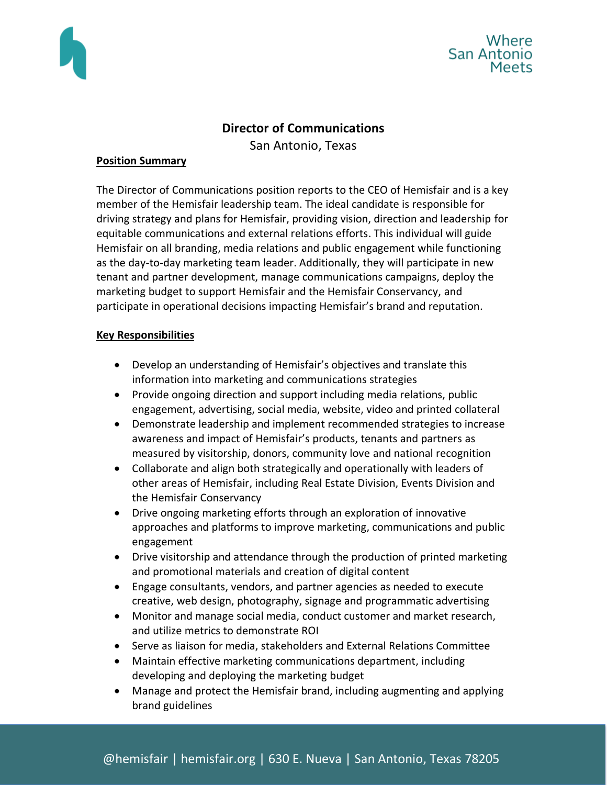



# **Director of Communications**

San Antonio, Texas

#### **Position Summary**

The Director of Communications position reports to the CEO of Hemisfair and is a key member of the Hemisfair leadership team. The ideal candidate is responsible for driving strategy and plans for Hemisfair, providing vision, direction and leadership for equitable communications and external relations efforts. This individual will guide Hemisfair on all branding, media relations and public engagement while functioning as the day-to-day marketing team leader. Additionally, they will participate in new tenant and partner development, manage communications campaigns, deploy the marketing budget to support Hemisfair and the Hemisfair Conservancy, and participate in operational decisions impacting Hemisfair's brand and reputation.

# **Key Responsibilities**

- Develop an understanding of Hemisfair's objectives and translate this information into marketing and communications strategies
- Provide ongoing direction and support including media relations, public engagement, advertising, social media, website, video and printed collateral
- Demonstrate leadership and implement recommended strategies to increase awareness and impact of Hemisfair's products, tenants and partners as measured by visitorship, donors, community love and national recognition
- Collaborate and align both strategically and operationally with leaders of other areas of Hemisfair, including Real Estate Division, Events Division and the Hemisfair Conservancy
- Drive ongoing marketing efforts through an exploration of innovative approaches and platforms to improve marketing, communications and public engagement
- Drive visitorship and attendance through the production of printed marketing and promotional materials and creation of digital content
- Engage consultants, vendors, and partner agencies as needed to execute creative, web design, photography, signage and programmatic advertising
- Monitor and manage social media, conduct customer and market research, and utilize metrics to demonstrate ROI
- Serve as liaison for media, stakeholders and External Relations Committee
- Maintain effective marketing communications department, including developing and deploying the marketing budget
- Manage and protect the Hemisfair brand, including augmenting and applying brand guidelines